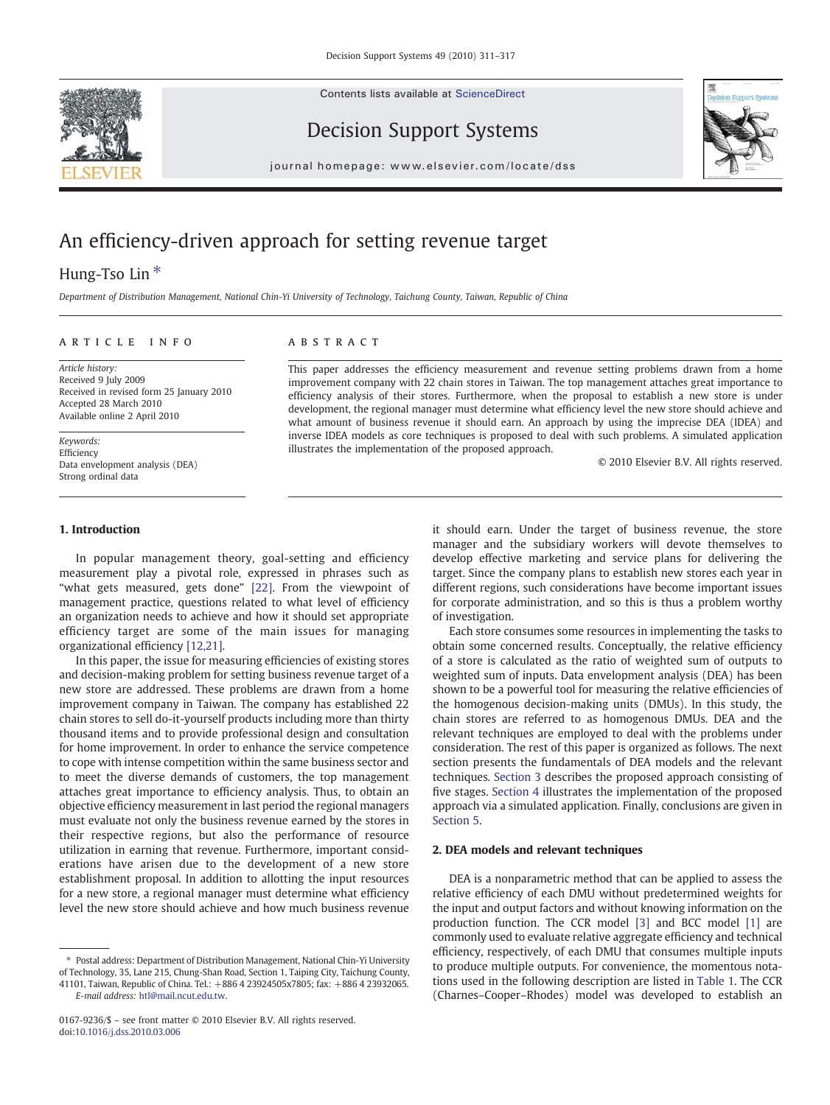Contents lists available at [ScienceDirect](http://www.sciencedirect.com/science/journal/01679236)





Decision Support Systems

journal homepage: www.elsevier.com/locate/dss

## An efficiency-driven approach for setting revenue target

### Hung-Tso Lin<sup>\*</sup>

Department of Distribution Management, National Chin-Yi University of Technology, Taichung County, Taiwan, Republic of China

### article info abstract

Article history: Received 9 July 2009 Received in revised form 25 January 2010 Accepted 28 March 2010 Available online 2 April 2010

Keywords: Efficiency Data envelopment analysis (DEA) Strong ordinal data

### 1. Introduction

In popular management theory, goal-setting and efficiency measurement play a pivotal role, expressed in phrases such as "what gets measured, gets done" [\[22\].](#page--1-0) From the viewpoint of management practice, questions related to what level of efficiency an organization needs to achieve and how it should set appropriate efficiency target are some of the main issues for managing organizational efficiency [\[12,21\].](#page--1-0)

In this paper, the issue for measuring efficiencies of existing stores and decision-making problem for setting business revenue target of a new store are addressed. These problems are drawn from a home improvement company in Taiwan. The company has established 22 chain stores to sell do-it-yourself products including more than thirty thousand items and to provide professional design and consultation for home improvement. In order to enhance the service competence to cope with intense competition within the same business sector and to meet the diverse demands of customers, the top management attaches great importance to efficiency analysis. Thus, to obtain an objective efficiency measurement in last period the regional managers must evaluate not only the business revenue earned by the stores in their respective regions, but also the performance of resource utilization in earning that revenue. Furthermore, important considerations have arisen due to the development of a new store establishment proposal. In addition to allotting the input resources for a new store, a regional manager must determine what efficiency level the new store should achieve and how much business revenue

This paper addresses the efficiency measurement and revenue setting problems drawn from a home improvement company with 22 chain stores in Taiwan. The top management attaches great importance to efficiency analysis of their stores. Furthermore, when the proposal to establish a new store is under development, the regional manager must determine what efficiency level the new store should achieve and what amount of business revenue it should earn. An approach by using the imprecise DEA (IDEA) and inverse IDEA models as core techniques is proposed to deal with such problems. A simulated application illustrates the implementation of the proposed approach.

© 2010 Elsevier B.V. All rights reserved.

it should earn. Under the target of business revenue, the store manager and the subsidiary workers will devote themselves to develop effective marketing and service plans for delivering the target. Since the company plans to establish new stores each year in different regions, such considerations have become important issues for corporate administration, and so this is thus a problem worthy of investigation.

Each store consumes some resources in implementing the tasks to obtain some concerned results. Conceptually, the relative efficiency of a store is calculated as the ratio of weighted sum of outputs to weighted sum of inputs. Data envelopment analysis (DEA) has been shown to be a powerful tool for measuring the relative efficiencies of the homogenous decision-making units (DMUs). In this study, the chain stores are referred to as homogenous DMUs. DEA and the relevant techniques are employed to deal with the problems under consideration. The rest of this paper is organized as follows. The next section presents the fundamentals of DEA models and the relevant techniques. [Section 3](#page--1-0) describes the proposed approach consisting of five stages. [Section 4](#page--1-0) illustrates the implementation of the proposed approach via a simulated application. Finally, conclusions are given in [Section 5.](#page--1-0)

### 2. DEA models and relevant techniques

DEA is a nonparametric method that can be applied to assess the relative efficiency of each DMU without predetermined weights for the input and output factors and without knowing information on the production function. The CCR model [\[3\]](#page--1-0) and BCC model [\[1\]](#page--1-0) are commonly used to evaluate relative aggregate efficiency and technical efficiency, respectively, of each DMU that consumes multiple inputs to produce multiple outputs. For convenience, the momentous notations used in the following description are listed in [Table 1](#page-1-0). The CCR (Charnes–Cooper–Rhodes) model was developed to establish an

<sup>⁎</sup> Postal address: Department of Distribution Management, National Chin-Yi University of Technology, 35, Lane 215, Chung-Shan Road, Section 1, Taiping City, Taichung County, 41101, Taiwan, Republic of China. Tel.: +886 4 23924505x7805; fax: +886 4 23932065. E-mail address: [htl@mail.ncut.edu.tw.](mailto:htl@mail.ncut.edu.tw)

<sup>0167-9236/\$</sup> – see front matter © 2010 Elsevier B.V. All rights reserved. doi:[10.1016/j.dss.2010.03.006](http://dx.doi.org/10.1016/j.dss.2010.03.006)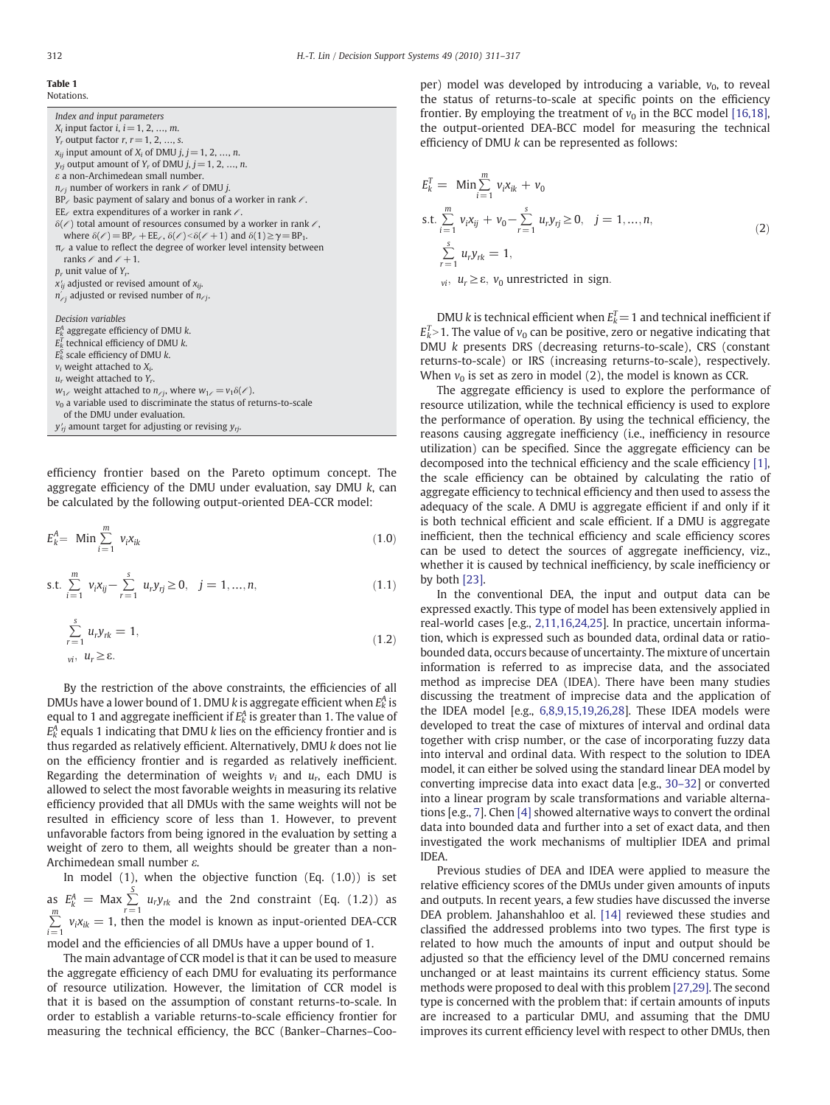### <span id="page-1-0"></span>Table 1

Notations.

Index and input parameters  $X_i$  input factor  $i, i = 1, 2, ..., m$ .  $Y_r$  output factor  $r, r = 1, 2, ..., s$ .  $x_{ij}$  input amount of  $X_i$  of DMU  $j, j = 1, 2, ..., n$ .  $y_{ri}$  output amount of  $Y_r$  of DMU  $j, j = 1, 2, ..., n$ .  $\varepsilon$  a non-Archimedean small number.  $n_{\ell j}$  number of workers in rank  $\ell$  of DMU j.  $BP_{\ell}$  basic payment of salary and bonus of a worker in rank  $\ell$ . EE $\ell$  extra expenditures of a worker in rank  $\ell$ .  $\delta(\ell)$  total amount of resources consumed by a worker in rank  $\ell$ , where  $\delta(\ell) = BP_{\ell} + EE_{\ell}$ ,  $\delta(\ell) \leq \delta(\ell+1)$  and  $\delta(1) \geq \gamma = BP_1$ .  $\pi$ / a value to reflect the degree of worker level intensity between ranks  $\ell$  and  $\ell + 1$ .  $p_r$  unit value of  $Y_r$ .  $x'_{ij}$  adjusted or revised amount of  $x_{ij}$ .  $n_{\angle j}'$  adjusted or revised number of  $n_{\angle j}$ . Decision variables  $E_k^A$  aggregate efficiency of DMU  $k$ .  $E_k^T$  technical efficiency of DMU k.  $E_k^S$  scale efficiency of DMU k.  $v_i$  weight attached to  $X_i$ .  $u_r$  weight attached to  $Y_r$ .  $w_{1\ell}$  weight attached to  $n_{\ell j}$ , where  $w_{1\ell} = v_1 \delta(\ell)$ .  $v_0$  a variable used to discriminate the status of returns-to-scale of the DMU under evaluation.

 $y'_{rj}$  amount target for adjusting or revising  $y_{rj}$ .

efficiency frontier based on the Pareto optimum concept. The aggregate efficiency of the DMU under evaluation, say DMU  $k$ , can be calculated by the following output-oriented DEA-CCR model:

$$
E_k^A = \text{Min} \sum_{i=1}^m v_i x_{ik} \tag{1.0}
$$

s.t. 
$$
\sum_{i=1}^{m} v_i x_{ij} - \sum_{r=1}^{s} u_r y_{rj} \ge 0, \quad j = 1, ..., n,
$$
 (1.1)

$$
\sum_{r=1}^{s} u_r y_{rk} = 1,
$$
\n
$$
u_r u_r \ge \varepsilon.
$$
\n(1.2)

By the restriction of the above constraints, the efficiencies of all DMUs have a lower bound of 1. DMU k is aggregate efficient when  $E_k^A$  is equal to 1 and aggregate inefficient if  $E_k^A$  is greater than 1. The value of  $E_k^A$  equals 1 indicating that DMU k lies on the efficiency frontier and is thus regarded as relatively efficient. Alternatively, DMU k does not lie on the efficiency frontier and is regarded as relatively inefficient. Regarding the determination of weights  $v_i$  and  $u_r$ , each DMU is allowed to select the most favorable weights in measuring its relative efficiency provided that all DMUs with the same weights will not be resulted in efficiency score of less than 1. However, to prevent unfavorable factors from being ignored in the evaluation by setting a weight of zero to them, all weights should be greater than a non-Archimedean small number ε.

In model (1), when the objective function (Eq. (1.0)) is set as  $E_k^A = \text{Max} \sum_{k=1}^{S}$  $\sum_{r=1} u_r y_{rk}$  and the 2nd constraint (Eq. (1.2)) as ∑ m  $\sum_{i=1}$   $v_i x_{ik} = 1$ , then the model is known as input-oriented DEA-CCR model and the efficiencies of all DMUs have a upper bound of 1.

The main advantage of CCR model is that it can be used to measure the aggregate efficiency of each DMU for evaluating its performance of resource utilization. However, the limitation of CCR model is that it is based on the assumption of constant returns-to-scale. In order to establish a variable returns-to-scale efficiency frontier for measuring the technical efficiency, the BCC (Banker–Charnes–Cooper) model was developed by introducing a variable,  $v_0$ , to reveal the status of returns-to-scale at specific points on the efficiency frontier. By employing the treatment of  $v_0$  in the BCC model [\[16,18\],](#page--1-0) the output-oriented DEA-BCC model for measuring the technical efficiency of DMU k can be represented as follows:

$$
E_k^T = \text{Min} \sum_{i=1}^m v_i x_{ik} + v_0
$$
  
s.t. 
$$
\sum_{i=1}^m v_i x_{ij} + v_0 - \sum_{r=1}^s u_r y_{rj} \ge 0, \quad j = 1, ..., n,
$$
  

$$
\sum_{r=1}^s u_r y_{rk} = 1,
$$
  

$$
v_i, u_r \ge \varepsilon, v_0 \text{ unrestricted in sign.}
$$
 (2)

DMU k is technical efficient when  $E_k^T = 1$  and technical inefficient if  $E_k^T$  > 1. The value of  $v_0$  can be positive, zero or negative indicating that DMU k presents DRS (decreasing returns-to-scale), CRS (constant returns-to-scale) or IRS (increasing returns-to-scale), respectively. When  $v_0$  is set as zero in model (2), the model is known as CCR.

The aggregate efficiency is used to explore the performance of resource utilization, while the technical efficiency is used to explore the performance of operation. By using the technical efficiency, the reasons causing aggregate inefficiency (i.e., inefficiency in resource utilization) can be specified. Since the aggregate efficiency can be decomposed into the technical efficiency and the scale efficiency [\[1\],](#page--1-0) the scale efficiency can be obtained by calculating the ratio of aggregate efficiency to technical efficiency and then used to assess the adequacy of the scale. A DMU is aggregate efficient if and only if it is both technical efficient and scale efficient. If a DMU is aggregate inefficient, then the technical efficiency and scale efficiency scores can be used to detect the sources of aggregate inefficiency, viz., whether it is caused by technical inefficiency, by scale inefficiency or by both [\[23\].](#page--1-0)

In the conventional DEA, the input and output data can be expressed exactly. This type of model has been extensively applied in real-world cases [e.g., [2,11,16,24,25](#page--1-0)]. In practice, uncertain information, which is expressed such as bounded data, ordinal data or ratiobounded data, occurs because of uncertainty. The mixture of uncertain information is referred to as imprecise data, and the associated method as imprecise DEA (IDEA). There have been many studies discussing the treatment of imprecise data and the application of the IDEA model [e.g., [6,8,9,15,19,26,28](#page--1-0)]. These IDEA models were developed to treat the case of mixtures of interval and ordinal data together with crisp number, or the case of incorporating fuzzy data into interval and ordinal data. With respect to the solution to IDEA model, it can either be solved using the standard linear DEA model by converting imprecise data into exact data [e.g., [30](#page--1-0)–32] or converted into a linear program by scale transformations and variable alternations [e.g., [7\]](#page--1-0). Chen [\[4\]](#page--1-0) showed alternative ways to convert the ordinal data into bounded data and further into a set of exact data, and then investigated the work mechanisms of multiplier IDEA and primal IDEA.

Previous studies of DEA and IDEA were applied to measure the relative efficiency scores of the DMUs under given amounts of inputs and outputs. In recent years, a few studies have discussed the inverse DEA problem. Jahanshahloo et al. [\[14\]](#page--1-0) reviewed these studies and classified the addressed problems into two types. The first type is related to how much the amounts of input and output should be adjusted so that the efficiency level of the DMU concerned remains unchanged or at least maintains its current efficiency status. Some methods were proposed to deal with this problem [\[27,29\].](#page--1-0) The second type is concerned with the problem that: if certain amounts of inputs are increased to a particular DMU, and assuming that the DMU improves its current efficiency level with respect to other DMUs, then